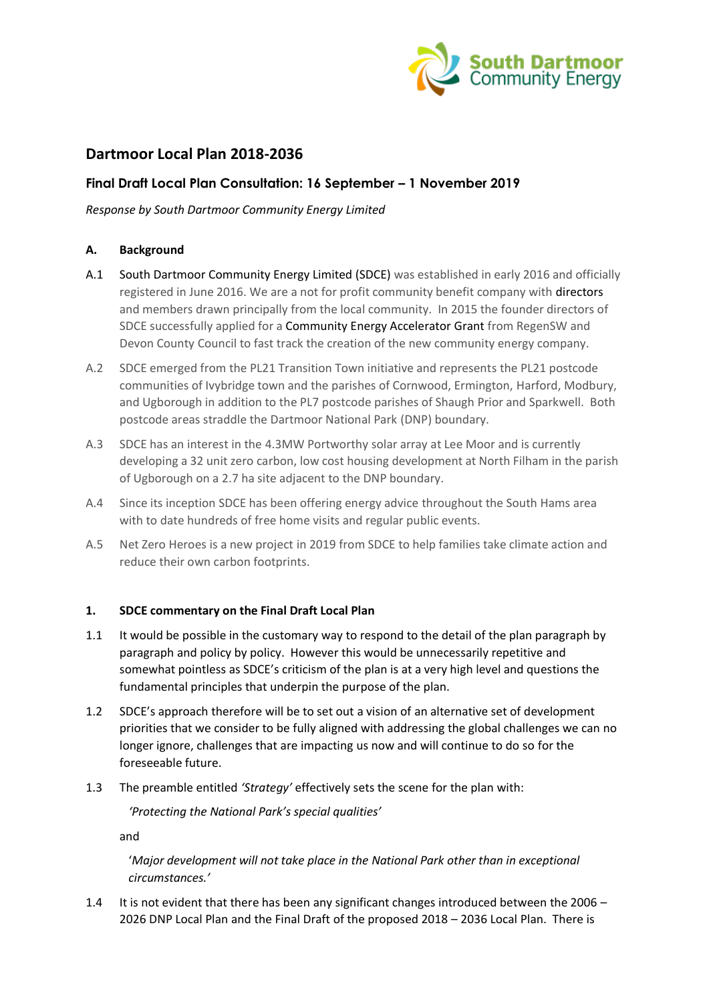

# **Dartmoor Local Plan 2018-2036**

# **Final Draft Local Plan Consultation: 16 September – 1 November 2019**

*Response by South Dartmoor Community Energy Limited*

# **A. Background**

- A.1 South Dartmoor Community Energy Limited (SDCE) was established in early 2016 and officially registered in June 2016. We are a not for profit community benefit company with directors and members drawn principally from the local community. In 2015 the founder directors of SDCE successfully applied for a Community Energy Accelerator Grant from RegenSW and Devon County Council to fast track the creation of the new community energy company.
- A.2 SDCE emerged from the PL21 Transition Town initiative and represents the PL21 postcode communities of Ivybridge town and the parishes of Cornwood, Ermington, Harford, Modbury, and Ugborough in addition to the PL7 postcode parishes of Shaugh Prior and Sparkwell. Both postcode areas straddle the Dartmoor National Park (DNP) boundary.
- A.3 SDCE has an interest in the 4.3MW Portworthy solar array at Lee Moor and is currently developing a 32 unit zero carbon, low cost housing development at North Filham in the parish of Ugborough on a 2.7 ha site adjacent to the DNP boundary.
- A.4 Since its inception SDCE has been offering energy advice throughout the South Hams area with to date hundreds of free home visits and regular public events.
- A.5 Net Zero Heroes is a new project in 2019 from SDCE to help families take climate action and reduce their own carbon footprints.

#### **1. SDCE commentary on the Final Draft Local Plan**

- 1.1 It would be possible in the customary way to respond to the detail of the plan paragraph by paragraph and policy by policy. However this would be unnecessarily repetitive and somewhat pointless as SDCE's criticism of the plan is at a very high level and questions the fundamental principles that underpin the purpose of the plan.
- 1.2 SDCE's approach therefore will be to set out a vision of an alternative set of development priorities that we consider to be fully aligned with addressing the global challenges we can no longer ignore, challenges that are impacting us now and will continue to do so for the foreseeable future.
- 1.3 The preamble entitled *'Strategy'* effectively sets the scene for the plan with:

*'Protecting the National Park's special qualities'*

and

'*Major development will not take place in the National Park other than in exceptional circumstances.'*

1.4 It is not evident that there has been any significant changes introduced between the 2006 – 2026 DNP Local Plan and the Final Draft of the proposed 2018 – 2036 Local Plan. There is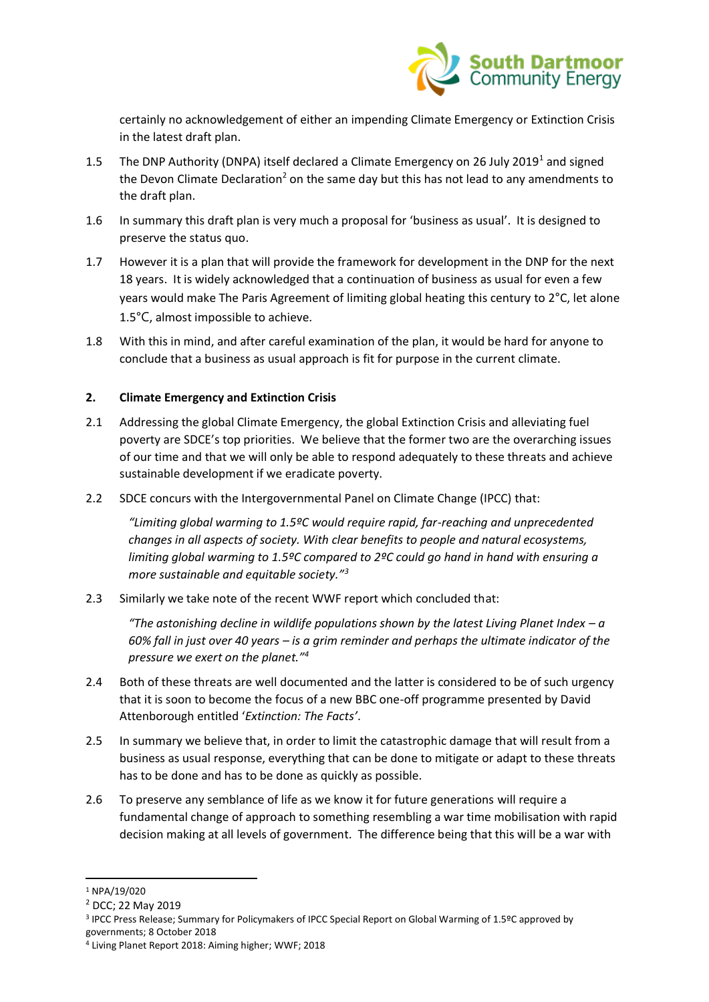

certainly no acknowledgement of either an impending Climate Emergency or Extinction Crisis in the latest draft plan.

- 1.5 The DNP Authority (DNPA) itself declared a Climate Emergency on 26 July 2019<sup>1</sup> and signed the Devon Climate Declaration<sup>2</sup> on the same day but this has not lead to any amendments to the draft plan.
- 1.6 In summary this draft plan is very much a proposal for 'business as usual'. It is designed to preserve the status quo.
- 1.7 However it is a plan that will provide the framework for development in the DNP for the next 18 years. It is widely acknowledged that a continuation of business as usual for even a few years would make The Paris Agreement of limiting global heating this century to 2°C, let alone 1.5°C, almost impossible to achieve.
- 1.8 With this in mind, and after careful examination of the plan, it would be hard for anyone to conclude that a business as usual approach is fit for purpose in the current climate.

#### **2. Climate Emergency and Extinction Crisis**

- 2.1 Addressing the global Climate Emergency, the global Extinction Crisis and alleviating fuel poverty are SDCE's top priorities. We believe that the former two are the overarching issues of our time and that we will only be able to respond adequately to these threats and achieve sustainable development if we eradicate poverty.
- 2.2 SDCE concurs with the Intergovernmental Panel on Climate Change (IPCC) that:

*"Limiting global warming to 1.5ºC would require rapid, far-reaching and unprecedented changes in all aspects of society. With clear benefits to people and natural ecosystems, limiting global warming to 1.5ºC compared to 2ºC could go hand in hand with ensuring a more sustainable and equitable society."<sup>3</sup>*

2.3 Similarly we take note of the recent WWF report which concluded that:

*"The astonishing decline in wildlife populations shown by the latest Living Planet Index – a 60% fall in just over 40 years – is a grim reminder and perhaps the ultimate indicator of the pressure we exert on the planet."<sup>4</sup>*

- 2.4 Both of these threats are well documented and the latter is considered to be of such urgency that it is soon to become the focus of a new BBC one-off programme presented by David Attenborough entitled '*Extinction: The Facts'*.
- 2.5 In summary we believe that, in order to limit the catastrophic damage that will result from a business as usual response, everything that can be done to mitigate or adapt to these threats has to be done and has to be done as quickly as possible.
- 2.6 To preserve any semblance of life as we know it for future generations will require a fundamental change of approach to something resembling a war time mobilisation with rapid decision making at all levels of government. The difference being that this will be a war with

<sup>1</sup> NPA/19/020

<sup>2</sup> DCC; 22 May 2019

<sup>3</sup> IPCC Press Release; Summary for Policymakers of IPCC Special Report on Global Warming of 1.5ºC approved by governments; 8 October 2018

<sup>4</sup> Living Planet Report 2018: Aiming higher; WWF; 2018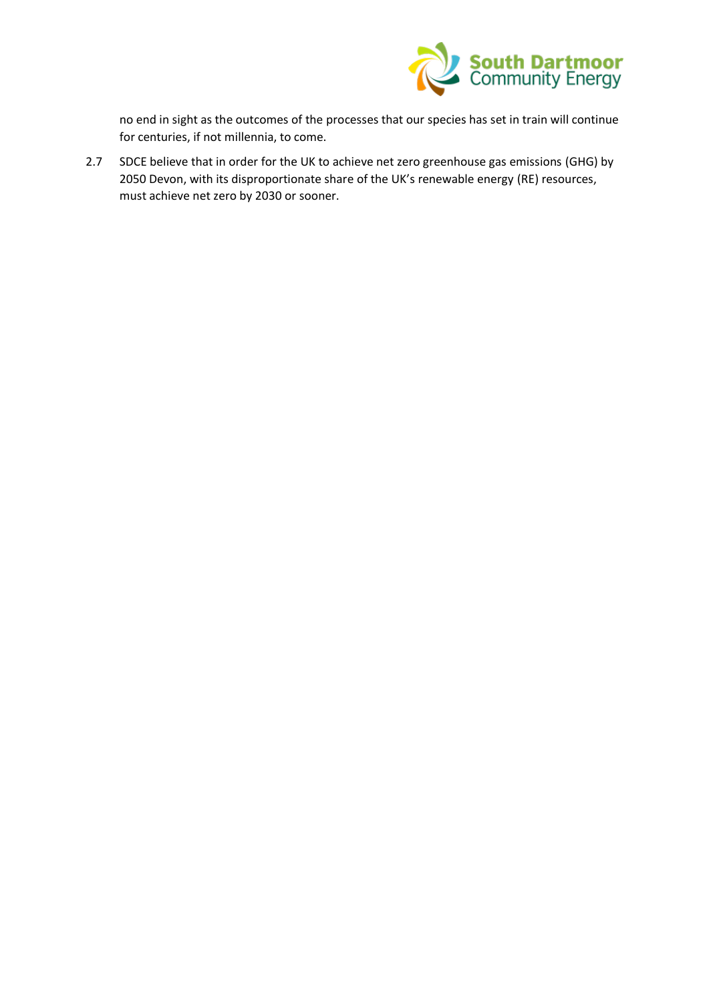

no end in sight as the outcomes of the processes that our species has set in train will continue for centuries, if not millennia, to come.

2.7 SDCE believe that in order for the UK to achieve net zero greenhouse gas emissions (GHG) by 2050 Devon, with its disproportionate share of the UK's renewable energy (RE) resources, must achieve net zero by 2030 or sooner.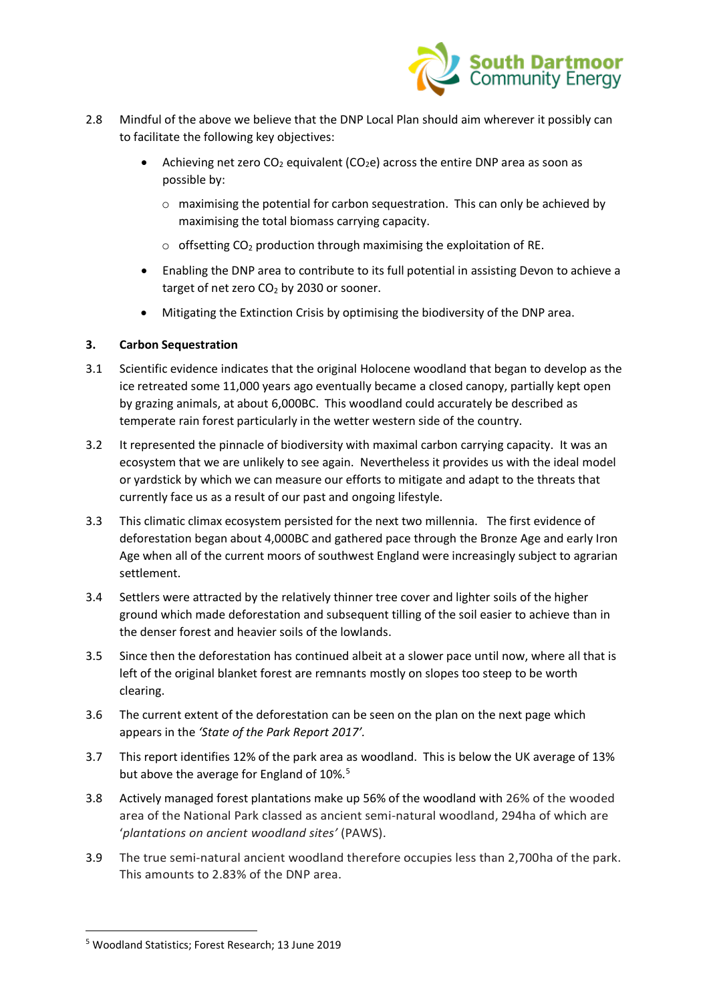

- 2.8 Mindful of the above we believe that the DNP Local Plan should aim wherever it possibly can to facilitate the following key objectives:
	- Achieving net zero  $CO<sub>2</sub>$  equivalent ( $CO<sub>2</sub>e$ ) across the entire DNP area as soon as possible by:
		- $\circ$  maximising the potential for carbon sequestration. This can only be achieved by maximising the total biomass carrying capacity.
		- $\circ$  offsetting CO<sub>2</sub> production through maximising the exploitation of RE.
	- Enabling the DNP area to contribute to its full potential in assisting Devon to achieve a target of net zero  $CO<sub>2</sub>$  by 2030 or sooner.
	- Mitigating the Extinction Crisis by optimising the biodiversity of the DNP area.

# **3. Carbon Sequestration**

- 3.1 Scientific evidence indicates that the original Holocene woodland that began to develop as the ice retreated some 11,000 years ago eventually became a closed canopy, partially kept open by grazing animals, at about 6,000BC. This woodland could accurately be described as temperate rain forest particularly in the wetter western side of the country.
- 3.2 It represented the pinnacle of biodiversity with maximal carbon carrying capacity. It was an ecosystem that we are unlikely to see again. Nevertheless it provides us with the ideal model or yardstick by which we can measure our efforts to mitigate and adapt to the threats that currently face us as a result of our past and ongoing lifestyle.
- 3.3 This climatic climax ecosystem persisted for the next two millennia. The first evidence of deforestation began about 4,000BC and gathered pace through the Bronze Age and early Iron Age when all of the current moors of southwest England were increasingly subject to agrarian settlement.
- 3.4 Settlers were attracted by the relatively thinner tree cover and lighter soils of the higher ground which made deforestation and subsequent tilling of the soil easier to achieve than in the denser forest and heavier soils of the lowlands.
- 3.5 Since then the deforestation has continued albeit at a slower pace until now, where all that is left of the original blanket forest are remnants mostly on slopes too steep to be worth clearing.
- 3.6 The current extent of the deforestation can be seen on the plan on the next page which appears in the *'State of the Park Report 2017'.*
- 3.7 This report identifies 12% of the park area as woodland. This is below the UK average of 13% but above the average for England of 10%.<sup>5</sup>
- 3.8 Actively managed forest plantations make up 56% of the woodland with 26% of the wooded area of the National Park classed as ancient semi-natural woodland, 294ha of which are '*plantations on ancient woodland sites'* (PAWS).
- 3.9 The true semi-natural ancient woodland therefore occupies less than 2,700ha of the park. This amounts to 2.83% of the DNP area.

<sup>5</sup> Woodland Statistics; Forest Research; 13 June 2019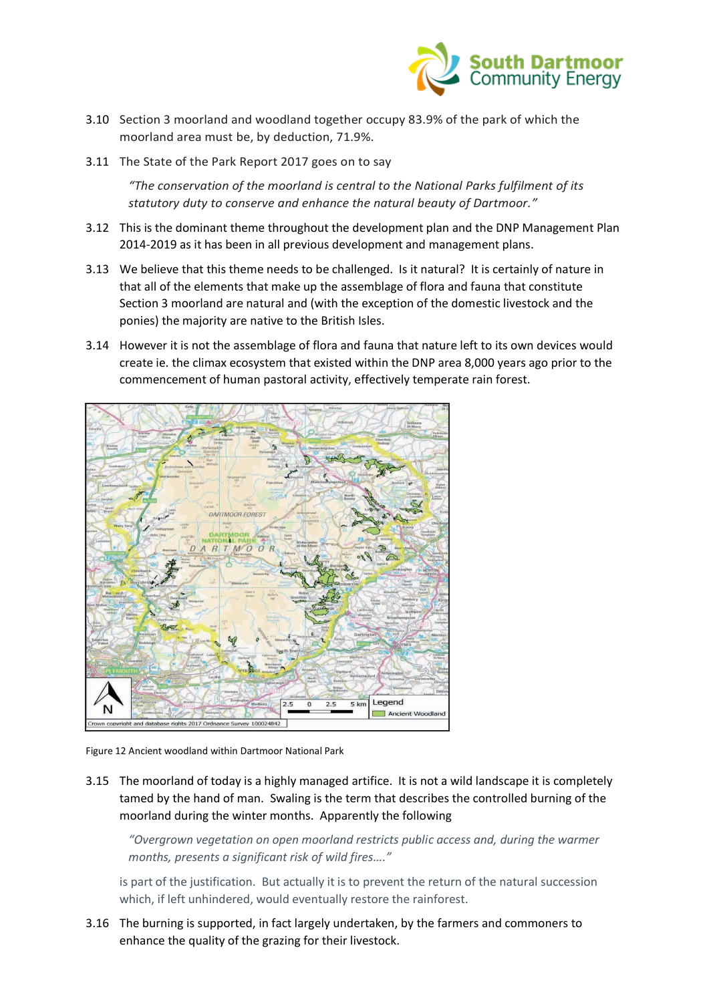

- 3.10 Section 3 moorland and woodland together occupy 83.9% of the park of which the moorland area must be, by deduction, 71.9%.
- 3.11 The State of the Park Report 2017 goes on to say

*"The conservation of the moorland is central to the National Parks fulfilment of its statutory duty to conserve and enhance the natural beauty of Dartmoor."*

- 3.12 This is the dominant theme throughout the development plan and the DNP Management Plan 2014-2019 as it has been in all previous development and management plans.
- 3.13 We believe that this theme needs to be challenged. Is it natural? It is certainly of nature in that all of the elements that make up the assemblage of flora and fauna that constitute Section 3 moorland are natural and (with the exception of the domestic livestock and the ponies) the majority are native to the British Isles.
- 3.14 However it is not the assemblage of flora and fauna that nature left to its own devices would create ie. the climax ecosystem that existed within the DNP area 8,000 years ago prior to the commencement of human pastoral activity, effectively temperate rain forest.



Figure 12 Ancient woodland within Dartmoor National Park

3.15 The moorland of today is a highly managed artifice. It is not a wild landscape it is completely tamed by the hand of man. Swaling is the term that describes the controlled burning of the moorland during the winter months. Apparently the following

*"Overgrown vegetation on open moorland restricts public access and, during the warmer months, presents a significant risk of wild fires…."*

is part of the justification. But actually it is to prevent the return of the natural succession which, if left unhindered, would eventually restore the rainforest.

3.16 The burning is supported, in fact largely undertaken, by the farmers and commoners to enhance the quality of the grazing for their livestock.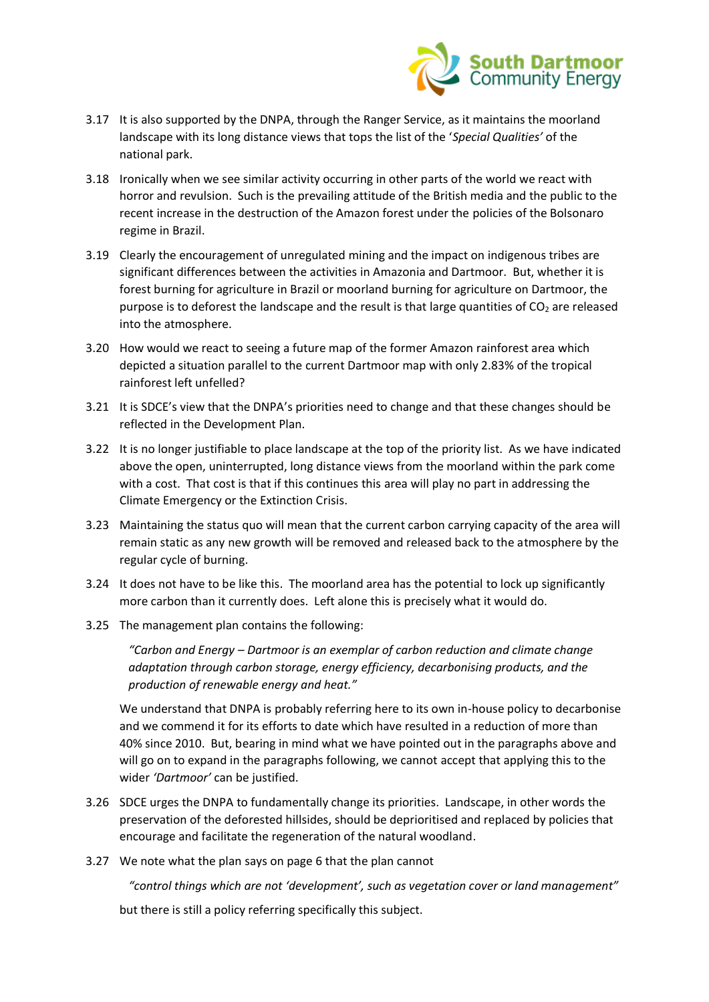

- 3.17 It is also supported by the DNPA, through the Ranger Service, as it maintains the moorland landscape with its long distance views that tops the list of the '*Special Qualities'* of the national park.
- 3.18 Ironically when we see similar activity occurring in other parts of the world we react with horror and revulsion. Such is the prevailing attitude of the British media and the public to the recent increase in the destruction of the Amazon forest under the policies of the Bolsonaro regime in Brazil.
- 3.19 Clearly the encouragement of unregulated mining and the impact on indigenous tribes are significant differences between the activities in Amazonia and Dartmoor. But, whether it is forest burning for agriculture in Brazil or moorland burning for agriculture on Dartmoor, the purpose is to deforest the landscape and the result is that large quantities of  $CO<sub>2</sub>$  are released into the atmosphere.
- 3.20 How would we react to seeing a future map of the former Amazon rainforest area which depicted a situation parallel to the current Dartmoor map with only 2.83% of the tropical rainforest left unfelled?
- 3.21 It is SDCE's view that the DNPA's priorities need to change and that these changes should be reflected in the Development Plan.
- 3.22 It is no longer justifiable to place landscape at the top of the priority list. As we have indicated above the open, uninterrupted, long distance views from the moorland within the park come with a cost. That cost is that if this continues this area will play no part in addressing the Climate Emergency or the Extinction Crisis.
- 3.23 Maintaining the status quo will mean that the current carbon carrying capacity of the area will remain static as any new growth will be removed and released back to the atmosphere by the regular cycle of burning.
- 3.24 It does not have to be like this. The moorland area has the potential to lock up significantly more carbon than it currently does. Left alone this is precisely what it would do.
- 3.25 The management plan contains the following:

*"Carbon and Energy – Dartmoor is an exemplar of carbon reduction and climate change adaptation through carbon storage, energy efficiency, decarbonising products, and the production of renewable energy and heat."*

We understand that DNPA is probably referring here to its own in-house policy to decarbonise and we commend it for its efforts to date which have resulted in a reduction of more than 40% since 2010. But, bearing in mind what we have pointed out in the paragraphs above and will go on to expand in the paragraphs following, we cannot accept that applying this to the wider *'Dartmoor'* can be justified.

- 3.26 SDCE urges the DNPA to fundamentally change its priorities. Landscape, in other words the preservation of the deforested hillsides, should be deprioritised and replaced by policies that encourage and facilitate the regeneration of the natural woodland.
- 3.27 We note what the plan says on page 6 that the plan cannot

*"control things which are not 'development', such as vegetation cover or land management"*

but there is still a policy referring specifically this subject.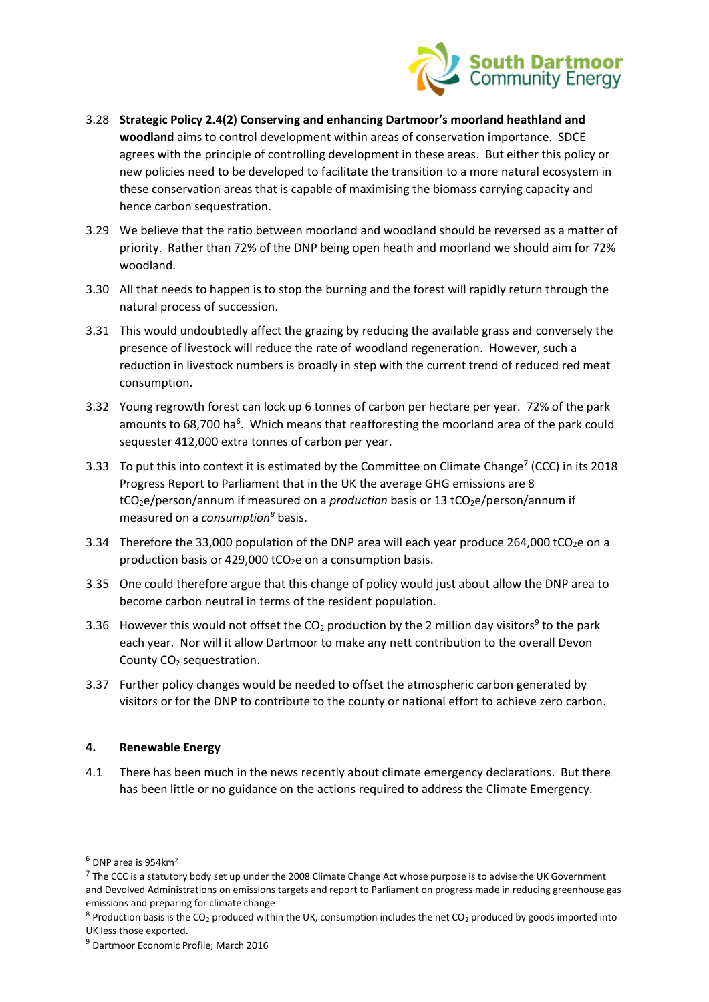

- 3.28 **Strategic Policy 2.4(2) Conserving and enhancing Dartmoor's moorland heathland and woodland** aims to control development within areas of conservation importance. SDCE agrees with the principle of controlling development in these areas. But either this policy or new policies need to be developed to facilitate the transition to a more natural ecosystem in these conservation areas that is capable of maximising the biomass carrying capacity and hence carbon sequestration.
- 3.29 We believe that the ratio between moorland and woodland should be reversed as a matter of priority. Rather than 72% of the DNP being open heath and moorland we should aim for 72% woodland.
- 3.30 All that needs to happen is to stop the burning and the forest will rapidly return through the natural process of succession.
- 3.31 This would undoubtedly affect the grazing by reducing the available grass and conversely the presence of livestock will reduce the rate of woodland regeneration. However, such a reduction in livestock numbers is broadly in step with the current trend of reduced red meat consumption.
- 3.32 Young regrowth forest can lock up 6 tonnes of carbon per hectare per year. 72% of the park amounts to 68,700 ha<sup>6</sup>. Which means that reafforesting the moorland area of the park could sequester 412,000 extra tonnes of carbon per year.
- 3.33 To put this into context it is estimated by the Committee on Climate Change<sup>7</sup> (CCC) in its 2018 Progress Report to Parliament that in the UK the average GHG emissions are 8 tCO<sub>2</sub>e/person/annum if measured on a *production* basis or 13 tCO<sub>2</sub>e/person/annum if measured on a *consumption<sup>8</sup>* basis.
- 3.34 Therefore the 33,000 population of the DNP area will each year produce 264,000 tCO<sub>2</sub>e on a production basis or 429,000 tCO<sub>2</sub>e on a consumption basis.
- 3.35 One could therefore argue that this change of policy would just about allow the DNP area to become carbon neutral in terms of the resident population.
- 3.36 However this would not offset the  $CO<sub>2</sub>$  production by the 2 million day visitors<sup>9</sup> to the park each year. Nor will it allow Dartmoor to make any nett contribution to the overall Devon County  $CO<sub>2</sub>$  sequestration.
- 3.37 Further policy changes would be needed to offset the atmospheric carbon generated by visitors or for the DNP to contribute to the county or national effort to achieve zero carbon.

#### **4. Renewable Energy**

4.1 There has been much in the news recently about climate emergency declarations. But there has been little or no guidance on the actions required to address the Climate Emergency.

 $6$  DNP area is 954 km<sup>2</sup>

 $<sup>7</sup>$  The CCC is a statutory body set up under the 2008 Climate Change Act whose purpose is to advise the UK Government</sup> and Devolved Administrations on emissions targets and report to Parliament on progress made in reducing greenhouse gas emissions and preparing for climate change

 $8$  Production basis is the CO<sub>2</sub> produced within the UK, consumption includes the net CO<sub>2</sub> produced by goods imported into UK less those exported.

<sup>9</sup> Dartmoor Economic Profile; March 2016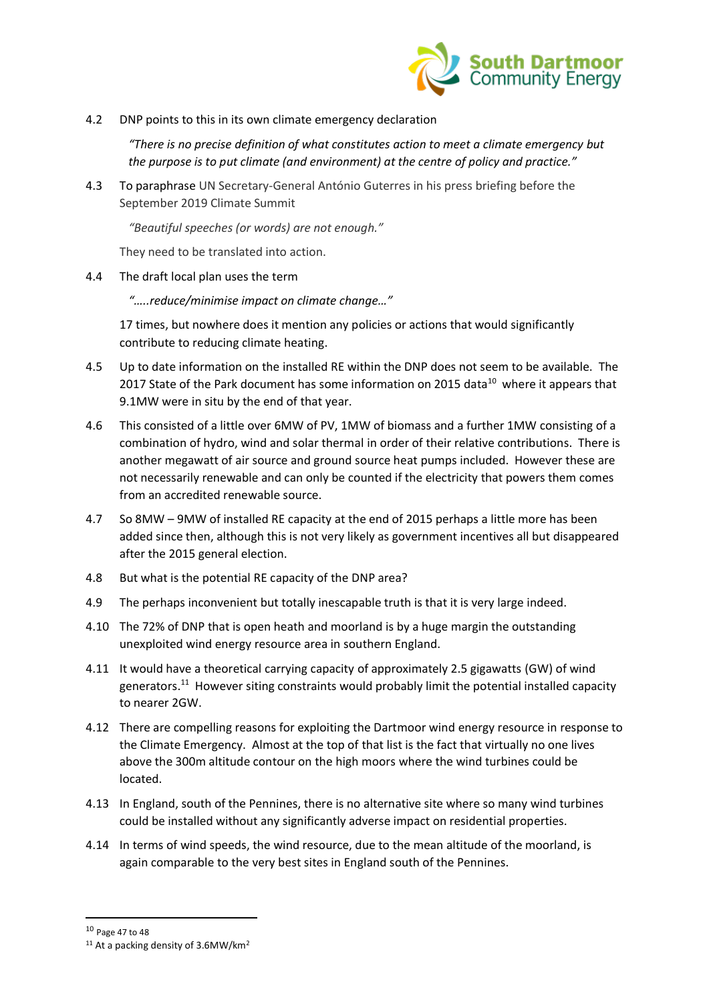

4.2 DNP points to this in its own climate emergency declaration

*"There is no precise definition of what constitutes action to meet a climate emergency but the purpose is to put climate (and environment) at the centre of policy and practice."*

4.3 To paraphrase UN Secretary-General António Guterres in his press briefing before the September 2019 Climate Summit

*"Beautiful speeches (or words) are not enough."*

They need to be translated into action.

4.4 The draft local plan uses the term

*"…..reduce/minimise impact on climate change…"*

17 times, but nowhere does it mention any policies or actions that would significantly contribute to reducing climate heating.

- 4.5 Up to date information on the installed RE within the DNP does not seem to be available. The 2017 State of the Park document has some information on 2015 data $^{10}$  where it appears that 9.1MW were in situ by the end of that year.
- 4.6 This consisted of a little over 6MW of PV, 1MW of biomass and a further 1MW consisting of a combination of hydro, wind and solar thermal in order of their relative contributions. There is another megawatt of air source and ground source heat pumps included. However these are not necessarily renewable and can only be counted if the electricity that powers them comes from an accredited renewable source.
- 4.7 So 8MW 9MW of installed RE capacity at the end of 2015 perhaps a little more has been added since then, although this is not very likely as government incentives all but disappeared after the 2015 general election.
- 4.8 But what is the potential RE capacity of the DNP area?
- 4.9 The perhaps inconvenient but totally inescapable truth is that it is very large indeed.
- 4.10 The 72% of DNP that is open heath and moorland is by a huge margin the outstanding unexploited wind energy resource area in southern England.
- 4.11 It would have a theoretical carrying capacity of approximately 2.5 gigawatts (GW) of wind generators.<sup>11</sup> However siting constraints would probably limit the potential installed capacity to nearer 2GW.
- 4.12 There are compelling reasons for exploiting the Dartmoor wind energy resource in response to the Climate Emergency. Almost at the top of that list is the fact that virtually no one lives above the 300m altitude contour on the high moors where the wind turbines could be located.
- 4.13 In England, south of the Pennines, there is no alternative site where so many wind turbines could be installed without any significantly adverse impact on residential properties.
- 4.14 In terms of wind speeds, the wind resource, due to the mean altitude of the moorland, is again comparable to the very best sites in England south of the Pennines.

<sup>10</sup> Page 47 to 48

 $11$  At a packing density of 3.6MW/km<sup>2</sup>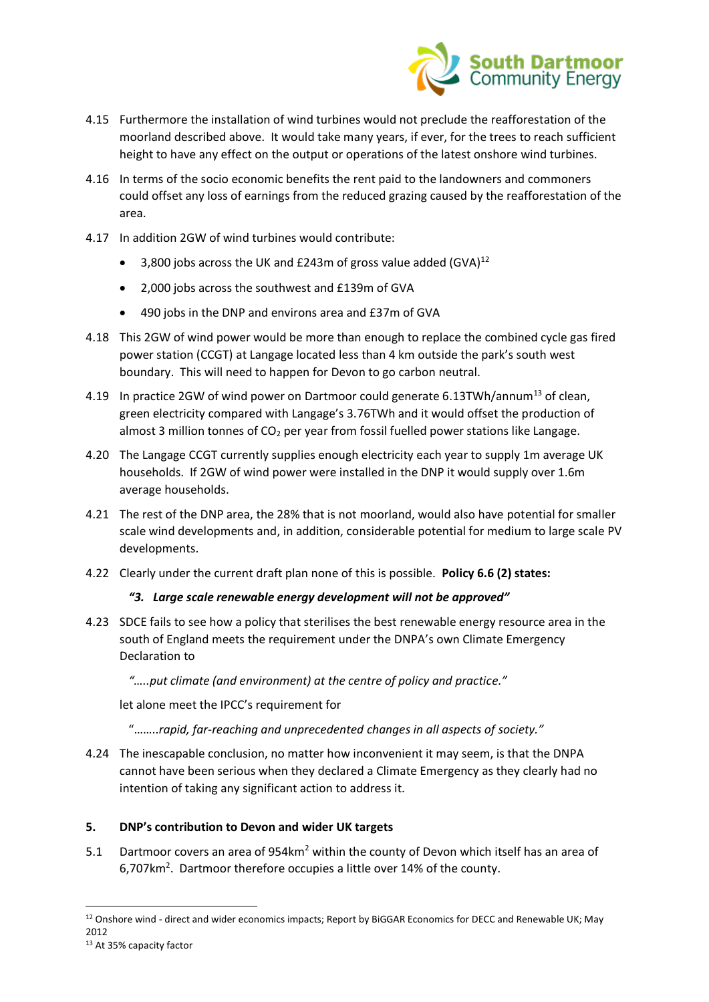

- 4.15 Furthermore the installation of wind turbines would not preclude the reafforestation of the moorland described above. It would take many years, if ever, for the trees to reach sufficient height to have any effect on the output or operations of the latest onshore wind turbines.
- 4.16 In terms of the socio economic benefits the rent paid to the landowners and commoners could offset any loss of earnings from the reduced grazing caused by the reafforestation of the area.
- 4.17 In addition 2GW of wind turbines would contribute:
	- 3,800 jobs across the UK and  $£243m$  of gross value added  $(GVA)^{12}$
	- 2,000 jobs across the southwest and £139m of GVA
	- 490 jobs in the DNP and environs area and £37m of GVA
- 4.18 This 2GW of wind power would be more than enough to replace the combined cycle gas fired power station (CCGT) at Langage located less than 4 km outside the park's south west boundary. This will need to happen for Devon to go carbon neutral.
- 4.19 In practice 2GW of wind power on Dartmoor could generate 6.13TWh/annum<sup>13</sup> of clean, green electricity compared with Langage's 3.76TWh and it would offset the production of almost 3 million tonnes of  $CO<sub>2</sub>$  per year from fossil fuelled power stations like Langage.
- 4.20 The Langage CCGT currently supplies enough electricity each year to supply 1m average UK households. If 2GW of wind power were installed in the DNP it would supply over 1.6m average households.
- 4.21 The rest of the DNP area, the 28% that is not moorland, would also have potential for smaller scale wind developments and, in addition, considerable potential for medium to large scale PV developments.
- 4.22 Clearly under the current draft plan none of this is possible. **Policy 6.6 (2) states:**

#### *"3. Large scale renewable energy development will not be approved"*

4.23 SDCE fails to see how a policy that sterilises the best renewable energy resource area in the south of England meets the requirement under the DNPA's own Climate Emergency Declaration to

*"…..put climate (and environment) at the centre of policy and practice."*

let alone meet the IPCC's requirement for

- "……..*rapid, far-reaching and unprecedented changes in all aspects of society."*
- 4.24 The inescapable conclusion, no matter how inconvenient it may seem, is that the DNPA cannot have been serious when they declared a Climate Emergency as they clearly had no intention of taking any significant action to address it.

# **5. DNP's contribution to Devon and wider UK targets**

5.1 Dartmoor covers an area of 954km<sup>2</sup> within the county of Devon which itself has an area of 6,707 $km^2$ . Dartmoor therefore occupies a little over 14% of the county.

<sup>&</sup>lt;sup>12</sup> Onshore wind - direct and wider economics impacts; Report by BiGGAR Economics for DECC and Renewable UK; May 2012

<sup>13</sup> At 35% capacity factor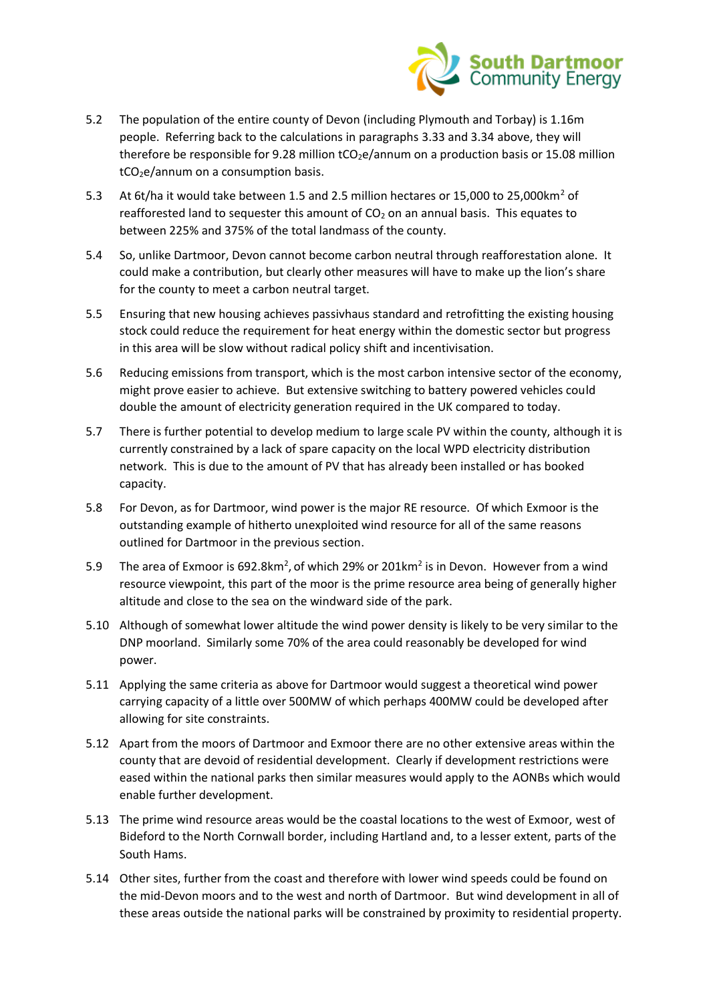

- 5.2 The population of the entire county of Devon (including Plymouth and Torbay) is 1.16m people. Referring back to the calculations in paragraphs 3.33 and 3.34 above, they will therefore be responsible for 9.28 million  $tCO_2e/annum$  on a production basis or 15.08 million  $tCO<sub>2</sub>e/annum$  on a consumption basis.
- 5.3 At 6t/ha it would take between 1.5 and 2.5 million hectares or 15,000 to 25,000 km<sup>2</sup> of reafforested land to sequester this amount of  $CO<sub>2</sub>$  on an annual basis. This equates to between 225% and 375% of the total landmass of the county.
- 5.4 So, unlike Dartmoor, Devon cannot become carbon neutral through reafforestation alone. It could make a contribution, but clearly other measures will have to make up the lion's share for the county to meet a carbon neutral target.
- 5.5 Ensuring that new housing achieves passivhaus standard and retrofitting the existing housing stock could reduce the requirement for heat energy within the domestic sector but progress in this area will be slow without radical policy shift and incentivisation.
- 5.6 Reducing emissions from transport, which is the most carbon intensive sector of the economy, might prove easier to achieve. But extensive switching to battery powered vehicles could double the amount of electricity generation required in the UK compared to today.
- 5.7 There is further potential to develop medium to large scale PV within the county, although it is currently constrained by a lack of spare capacity on the local WPD electricity distribution network. This is due to the amount of PV that has already been installed or has booked capacity.
- 5.8 For Devon, as for Dartmoor, wind power is the major RE resource. Of which Exmoor is the outstanding example of hitherto unexploited wind resource for all of the same reasons outlined for Dartmoor in the previous section.
- 5.9 The area of Exmoor is 692.8km<sup>2</sup>, of which 29% or 201km<sup>2</sup> is in Devon. However from a wind resource viewpoint, this part of the moor is the prime resource area being of generally higher altitude and close to the sea on the windward side of the park.
- 5.10 Although of somewhat lower altitude the wind power density is likely to be very similar to the DNP moorland. Similarly some 70% of the area could reasonably be developed for wind power.
- 5.11 Applying the same criteria as above for Dartmoor would suggest a theoretical wind power carrying capacity of a little over 500MW of which perhaps 400MW could be developed after allowing for site constraints.
- 5.12 Apart from the moors of Dartmoor and Exmoor there are no other extensive areas within the county that are devoid of residential development. Clearly if development restrictions were eased within the national parks then similar measures would apply to the AONBs which would enable further development.
- 5.13 The prime wind resource areas would be the coastal locations to the west of Exmoor, west of Bideford to the North Cornwall border, including Hartland and, to a lesser extent, parts of the South Hams.
- 5.14 Other sites, further from the coast and therefore with lower wind speeds could be found on the mid-Devon moors and to the west and north of Dartmoor. But wind development in all of these areas outside the national parks will be constrained by proximity to residential property.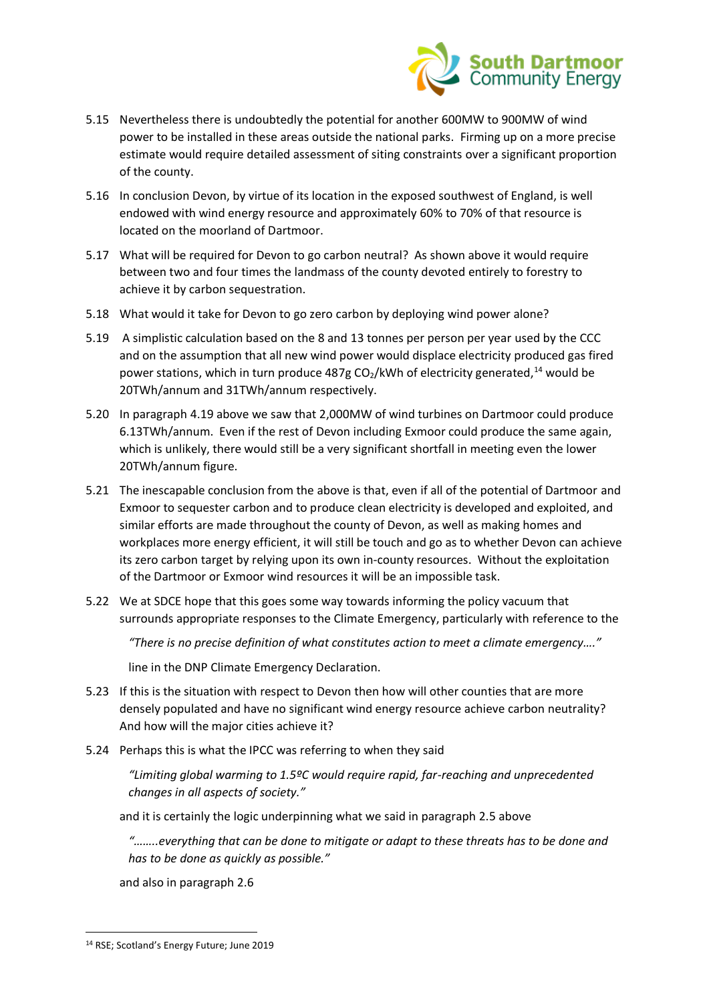

- 5.15 Nevertheless there is undoubtedly the potential for another 600MW to 900MW of wind power to be installed in these areas outside the national parks. Firming up on a more precise estimate would require detailed assessment of siting constraints over a significant proportion of the county.
- 5.16 In conclusion Devon, by virtue of its location in the exposed southwest of England, is well endowed with wind energy resource and approximately 60% to 70% of that resource is located on the moorland of Dartmoor.
- 5.17 What will be required for Devon to go carbon neutral? As shown above it would require between two and four times the landmass of the county devoted entirely to forestry to achieve it by carbon sequestration.
- 5.18 What would it take for Devon to go zero carbon by deploying wind power alone?
- 5.19 A simplistic calculation based on the 8 and 13 tonnes per person per year used by the CCC and on the assumption that all new wind power would displace electricity produced gas fired power stations, which in turn produce 487g CO<sub>2</sub>/kWh of electricity generated,<sup>14</sup> would be 20TWh/annum and 31TWh/annum respectively.
- 5.20 In paragraph 4.19 above we saw that 2,000MW of wind turbines on Dartmoor could produce 6.13TWh/annum. Even if the rest of Devon including Exmoor could produce the same again, which is unlikely, there would still be a very significant shortfall in meeting even the lower 20TWh/annum figure.
- 5.21 The inescapable conclusion from the above is that, even if all of the potential of Dartmoor and Exmoor to sequester carbon and to produce clean electricity is developed and exploited, and similar efforts are made throughout the county of Devon, as well as making homes and workplaces more energy efficient, it will still be touch and go as to whether Devon can achieve its zero carbon target by relying upon its own in-county resources. Without the exploitation of the Dartmoor or Exmoor wind resources it will be an impossible task.
- 5.22 We at SDCE hope that this goes some way towards informing the policy vacuum that surrounds appropriate responses to the Climate Emergency, particularly with reference to the

*"There is no precise definition of what constitutes action to meet a climate emergency…."*

line in the DNP Climate Emergency Declaration.

- 5.23 If this is the situation with respect to Devon then how will other counties that are more densely populated and have no significant wind energy resource achieve carbon neutrality? And how will the major cities achieve it?
- 5.24 Perhaps this is what the IPCC was referring to when they said

*"Limiting global warming to 1.5ºC would require rapid, far-reaching and unprecedented changes in all aspects of society."*

and it is certainly the logic underpinning what we said in paragraph 2.5 above

*"……..everything that can be done to mitigate or adapt to these threats has to be done and has to be done as quickly as possible."*

and also in paragraph 2.6

<sup>14</sup> RSE; Scotland's Energy Future; June 2019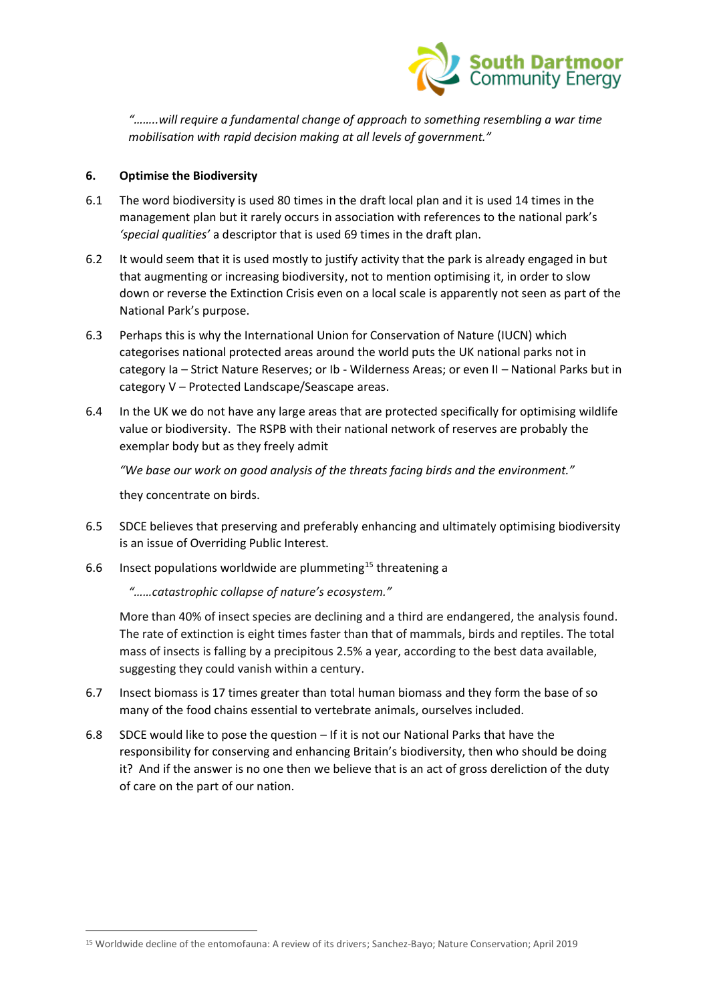

*"……..will require a fundamental change of approach to something resembling a war time mobilisation with rapid decision making at all levels of government."*

# **6. Optimise the Biodiversity**

- 6.1 The word biodiversity is used 80 times in the draft local plan and it is used 14 times in the management plan but it rarely occurs in association with references to the national park's *'special qualities'* a descriptor that is used 69 times in the draft plan.
- 6.2 It would seem that it is used mostly to justify activity that the park is already engaged in but that augmenting or increasing biodiversity, not to mention optimising it, in order to slow down or reverse the Extinction Crisis even on a local scale is apparently not seen as part of the National Park's purpose.
- 6.3 Perhaps this is why the International Union for Conservation of Nature (IUCN) which categorises national protected areas around the world puts the UK national parks not in category Ia – Strict Nature Reserves; or Ib - Wilderness Areas; or even II – National Parks but in category V – Protected Landscape/Seascape areas.
- 6.4 In the UK we do not have any large areas that are protected specifically for optimising wildlife value or biodiversity. The RSPB with their national network of reserves are probably the exemplar body but as they freely admit

*"We base our work on good analysis of the threats facing birds and the environment."*

they concentrate on birds.

- 6.5 SDCE believes that preserving and preferably enhancing and ultimately optimising biodiversity is an issue of Overriding Public Interest.
- 6.6 Insect populations worldwide are plummeting<sup>15</sup> threatening a

*"……catastrophic collapse of nature's ecosystem."*

More than 40% of insect species are declining and a third are endangered, the analysis found. The rate of extinction is eight times faster than that of mammals, birds and reptiles. The total mass of insects is falling by a precipitous 2.5% a year, according to the best data available, suggesting they could vanish within a century.

- 6.7 Insect biomass is 17 times greater than total human biomass and they form the base of so many of the food chains essential to vertebrate animals, ourselves included.
- 6.8 SDCE would like to pose the question If it is not our National Parks that have the responsibility for conserving and enhancing Britain's biodiversity, then who should be doing it? And if the answer is no one then we believe that is an act of gross dereliction of the duty of care on the part of our nation.

<sup>15</sup> Worldwide decline of the entomofauna: A review of its drivers; Sanchez-Bayo; Nature Conservation; April 2019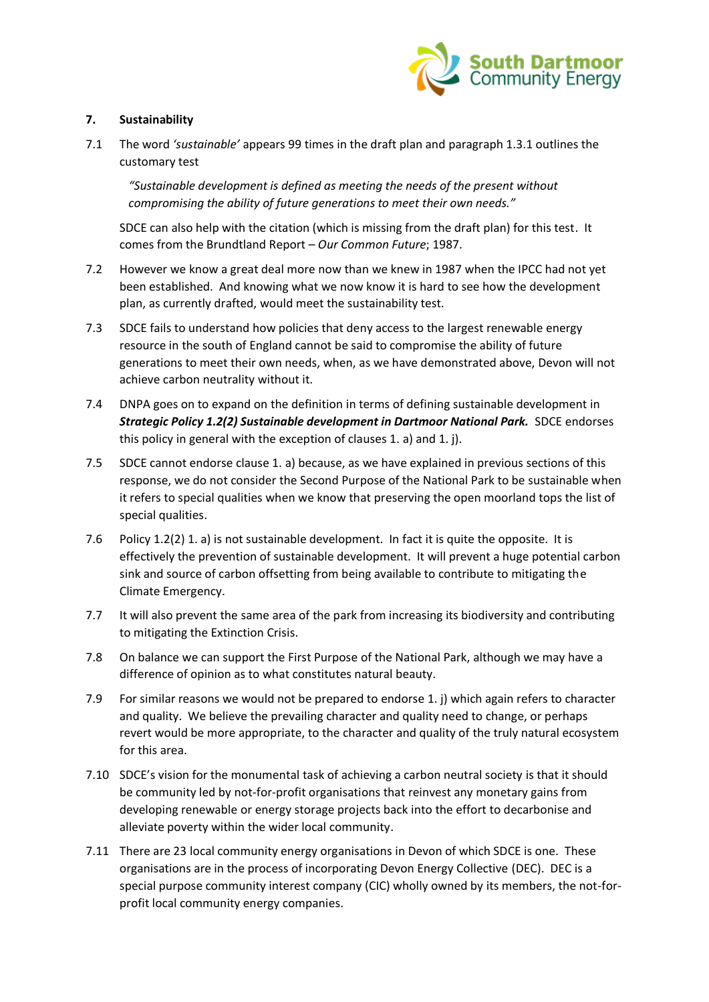

# **7. Sustainability**

7.1 The word *'sustainable'* appears 99 times in the draft plan and paragraph 1.3.1 outlines the customary test

*"Sustainable development is defined as meeting the needs of the present without compromising the ability of future generations to meet their own needs."*

SDCE can also help with the citation (which is missing from the draft plan) for this test. It comes from the Brundtland Report – *Our Common Future*; 1987.

- 7.2 However we know a great deal more now than we knew in 1987 when the IPCC had not yet been established. And knowing what we now know it is hard to see how the development plan, as currently drafted, would meet the sustainability test.
- 7.3 SDCE fails to understand how policies that deny access to the largest renewable energy resource in the south of England cannot be said to compromise the ability of future generations to meet their own needs, when, as we have demonstrated above, Devon will not achieve carbon neutrality without it.
- 7.4 DNPA goes on to expand on the definition in terms of defining sustainable development in *Strategic Policy 1.2(2) Sustainable development in Dartmoor National Park.* SDCE endorses this policy in general with the exception of clauses 1. a) and 1. j).
- 7.5 SDCE cannot endorse clause 1. a) because, as we have explained in previous sections of this response, we do not consider the Second Purpose of the National Park to be sustainable when it refers to special qualities when we know that preserving the open moorland tops the list of special qualities.
- 7.6 Policy 1.2(2) 1. a) is not sustainable development. In fact it is quite the opposite. It is effectively the prevention of sustainable development. It will prevent a huge potential carbon sink and source of carbon offsetting from being available to contribute to mitigating the Climate Emergency.
- 7.7 It will also prevent the same area of the park from increasing its biodiversity and contributing to mitigating the Extinction Crisis.
- 7.8 On balance we can support the First Purpose of the National Park, although we may have a difference of opinion as to what constitutes natural beauty.
- 7.9 For similar reasons we would not be prepared to endorse 1. j) which again refers to character and quality. We believe the prevailing character and quality need to change, or perhaps revert would be more appropriate, to the character and quality of the truly natural ecosystem for this area.
- 7.10 SDCE's vision for the monumental task of achieving a carbon neutral society is that it should be community led by not-for-profit organisations that reinvest any monetary gains from developing renewable or energy storage projects back into the effort to decarbonise and alleviate poverty within the wider local community.
- 7.11 There are 23 local community energy organisations in Devon of which SDCE is one. These organisations are in the process of incorporating Devon Energy Collective (DEC). DEC is a special purpose community interest company (CIC) wholly owned by its members, the not-forprofit local community energy companies.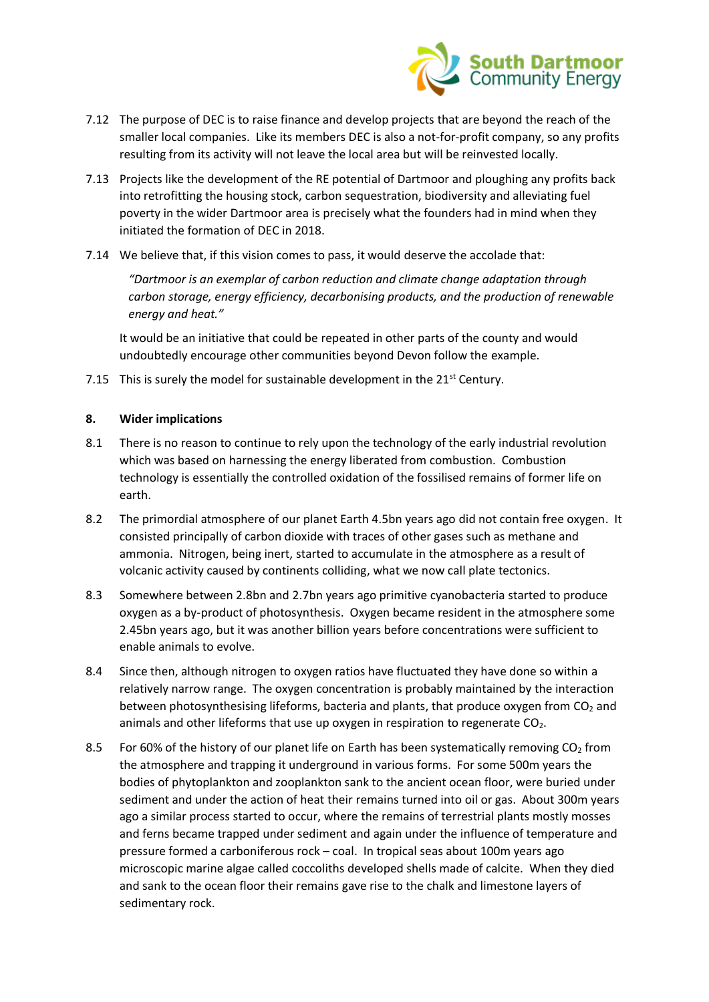

- 7.12 The purpose of DEC is to raise finance and develop projects that are beyond the reach of the smaller local companies. Like its members DEC is also a not-for-profit company, so any profits resulting from its activity will not leave the local area but will be reinvested locally.
- 7.13 Projects like the development of the RE potential of Dartmoor and ploughing any profits back into retrofitting the housing stock, carbon sequestration, biodiversity and alleviating fuel poverty in the wider Dartmoor area is precisely what the founders had in mind when they initiated the formation of DEC in 2018.
- 7.14 We believe that, if this vision comes to pass, it would deserve the accolade that:

*"Dartmoor is an exemplar of carbon reduction and climate change adaptation through carbon storage, energy efficiency, decarbonising products, and the production of renewable energy and heat."*

It would be an initiative that could be repeated in other parts of the county and would undoubtedly encourage other communities beyond Devon follow the example.

7.15 This is surely the model for sustainable development in the  $21<sup>st</sup>$  Century.

# **8. Wider implications**

- 8.1 There is no reason to continue to rely upon the technology of the early industrial revolution which was based on harnessing the energy liberated from combustion. Combustion technology is essentially the controlled oxidation of the fossilised remains of former life on earth.
- 8.2 The primordial atmosphere of our planet Earth 4.5bn years ago did not contain free oxygen. It consisted principally of carbon dioxide with traces of other gases such as methane and ammonia. Nitrogen, being inert, started to accumulate in the atmosphere as a result of volcanic activity caused by continents colliding, what we now call plate tectonics.
- 8.3 Somewhere between 2.8bn and 2.7bn years ago primitive cyanobacteria started to produce oxygen as a by-product of photosynthesis. Oxygen became resident in the atmosphere some 2.45bn years ago, but it was another billion years before concentrations were sufficient to enable animals to evolve.
- 8.4 Since then, although nitrogen to oxygen ratios have fluctuated they have done so within a relatively narrow range. The oxygen concentration is probably maintained by the interaction between photosynthesising lifeforms, bacteria and plants, that produce oxygen from  $CO<sub>2</sub>$  and animals and other lifeforms that use up oxygen in respiration to regenerate  $CO<sub>2</sub>$ .
- 8.5 For 60% of the history of our planet life on Earth has been systematically removing  $CO<sub>2</sub>$  from the atmosphere and trapping it underground in various forms. For some 500m years the bodies of phytoplankton and zooplankton sank to the ancient ocean floor, were buried under sediment and under the action of heat their remains turned into oil or gas. About 300m years ago a similar process started to occur, where the remains of terrestrial plants mostly mosses and ferns became trapped under sediment and again under the influence of temperature and pressure formed a carboniferous rock – coal. In tropical seas about 100m years ago microscopic marine algae called coccoliths developed shells made of calcite. When they died and sank to the ocean floor their remains gave rise to the chalk and limestone layers of sedimentary rock.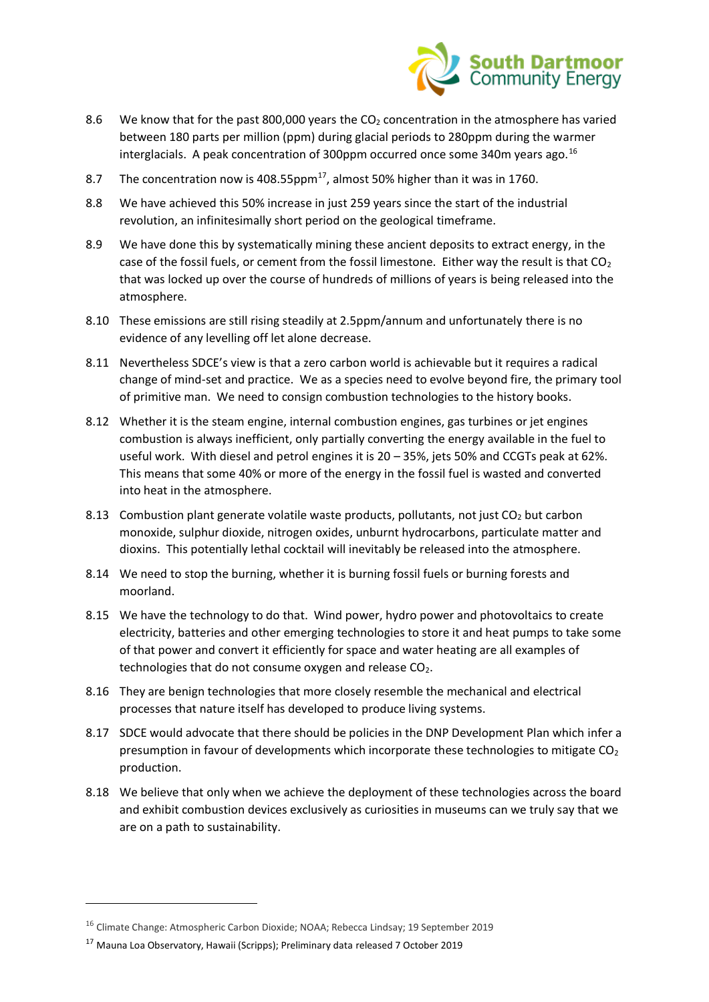

- 8.6 We know that for the past 800,000 years the  $CO<sub>2</sub>$  concentration in the atmosphere has varied between 180 parts per million (ppm) during glacial periods to 280ppm during the warmer interglacials. A peak concentration of 300ppm occurred once some 340m years ago.<sup>16</sup>
- 8.7 The concentration now is 408.55 $ppm^{17}$ , almost 50% higher than it was in 1760.
- 8.8 We have achieved this 50% increase in just 259 years since the start of the industrial revolution, an infinitesimally short period on the geological timeframe.
- 8.9 We have done this by systematically mining these ancient deposits to extract energy, in the case of the fossil fuels, or cement from the fossil limestone. Either way the result is that  $CO<sub>2</sub>$ that was locked up over the course of hundreds of millions of years is being released into the atmosphere.
- 8.10 These emissions are still rising steadily at 2.5ppm/annum and unfortunately there is no evidence of any levelling off let alone decrease.
- 8.11 Nevertheless SDCE's view is that a zero carbon world is achievable but it requires a radical change of mind-set and practice. We as a species need to evolve beyond fire, the primary tool of primitive man. We need to consign combustion technologies to the history books.
- 8.12 Whether it is the steam engine, internal combustion engines, gas turbines or jet engines combustion is always inefficient, only partially converting the energy available in the fuel to useful work. With diesel and petrol engines it is 20 – 35%, jets 50% and CCGTs peak at 62%. This means that some 40% or more of the energy in the fossil fuel is wasted and converted into heat in the atmosphere.
- 8.13 Combustion plant generate volatile waste products, pollutants, not just  $CO<sub>2</sub>$  but carbon monoxide, sulphur dioxide, nitrogen oxides, unburnt hydrocarbons, particulate matter and dioxins. This potentially lethal cocktail will inevitably be released into the atmosphere.
- 8.14 We need to stop the burning, whether it is burning fossil fuels or burning forests and moorland.
- 8.15 We have the technology to do that. Wind power, hydro power and photovoltaics to create electricity, batteries and other emerging technologies to store it and heat pumps to take some of that power and convert it efficiently for space and water heating are all examples of technologies that do not consume oxygen and release  $CO<sub>2</sub>$ .
- 8.16 They are benign technologies that more closely resemble the mechanical and electrical processes that nature itself has developed to produce living systems.
- 8.17 SDCE would advocate that there should be policies in the DNP Development Plan which infer a presumption in favour of developments which incorporate these technologies to mitigate  $CO<sub>2</sub>$ production.
- 8.18 We believe that only when we achieve the deployment of these technologies across the board and exhibit combustion devices exclusively as curiosities in museums can we truly say that we are on a path to sustainability.

<sup>&</sup>lt;sup>16</sup> Climate Change: Atmospheric Carbon Dioxide; NOAA; Rebecca Lindsay; 19 September 2019

<sup>17</sup> Mauna Loa Observatory, Hawaii (Scripps); Preliminary data released 7 October 2019